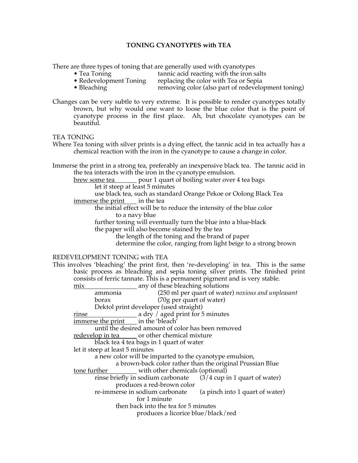# **TONING CYANOTYPES with TEA**

There are three types of toning that are generally used with cyanotypes

- 
- Tea Toning tannic acid reacting with the iron salts<br>• Redevelopment Toning replacing the color with Tea or Sepia
	- replacing the color with Tea or Sepia
- Bleaching removing color (also part of redevelopment toning)
- Changes can be very subtle to very extreme. It is possible to render cyanotypes totally brown, but why would one want to loose the blue color that is the point of cyanotype process in the first place. Ah, but chocolate cyanotypes can be beautiful.

TEA TONING

Where Tea toning with silver prints is a dying effect, the tannic acid in tea actually has a chemical reaction with the iron in the cyanotype to cause a change in color.

Immerse the print in a strong tea, preferably an inexpensive black tea. The tannic acid in the tea interacts with the iron in the cyanotype emulsion.

brew some tea pour 1 quart of boiling water over 4 tea bags let it steep at least 5 minutes

use black tea, such as standard Orange Pekoe or Oolong Black Tea immerse the print in the tea

the initial effect will be to reduce the intensity of the blue color to a navy blue

further toning will eventually turn the blue into a blue-black

the paper will also become stained by the tea

the length of the toning and the brand of paper

determine the color, ranging from light beige to a strong brown

## REDEVELOPMENT TONING with TEA

This involves 'bleaching' the print first, then 're-developing' in tea. This is the same basic process as bleaching and sepia toning silver prints. The finished print consists of ferric tannate. This is a permanent pigment and is very stable.

| mix                                                     |                                        | any of these bleaching solutions                        |                                                                           |  |  |
|---------------------------------------------------------|----------------------------------------|---------------------------------------------------------|---------------------------------------------------------------------------|--|--|
|                                                         | ammonia                                |                                                         | (250 ml per quart of water) noxious and unpleasant                        |  |  |
|                                                         | borax                                  | (70g per quart of water)                                |                                                                           |  |  |
|                                                         | Dektol print developer (used straight) |                                                         |                                                                           |  |  |
| rinse                                                   |                                        | $\frac{1}{2}$ a dry / aged print for 5 minutes          |                                                                           |  |  |
|                                                         |                                        | immerse the print in the 'bleach'                       |                                                                           |  |  |
| until the desired amount of color has been removed      |                                        |                                                         |                                                                           |  |  |
|                                                         |                                        | <u>redevelop in tea _____</u> or other chemical mixture |                                                                           |  |  |
|                                                         |                                        | black tea 4 tea bags in 1 quart of water                |                                                                           |  |  |
| let it steep at least 5 minutes                         |                                        |                                                         |                                                                           |  |  |
| a new color will be imparted to the cyanotype emulsion, |                                        |                                                         |                                                                           |  |  |
|                                                         |                                        |                                                         | a brown-back color rather than the original Prussian Blue                 |  |  |
|                                                         |                                        | <u>tone further with other chemicals</u> (optional)     |                                                                           |  |  |
|                                                         |                                        |                                                         | rinse briefly in sodium carbonate $(3/4 \text{ cup in 1 quart of water})$ |  |  |
| produces a red-brown color                              |                                        |                                                         |                                                                           |  |  |
|                                                         |                                        | re-immerse in sodium carbonate                          | (a pinch into 1 quart of water)                                           |  |  |
|                                                         |                                        | for 1 minute                                            |                                                                           |  |  |
| then back into the tea for 5 minutes                    |                                        |                                                         |                                                                           |  |  |
| produces a licorice blue/black/red                      |                                        |                                                         |                                                                           |  |  |
|                                                         |                                        |                                                         |                                                                           |  |  |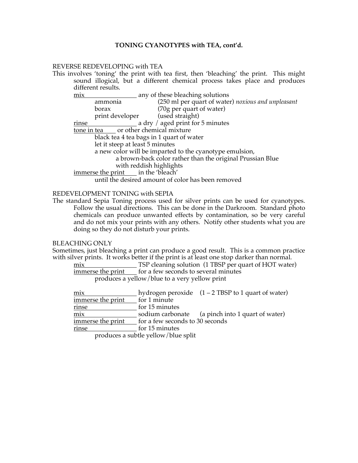## **TONING CYANOTYPES with TEA, cont'd.**

#### REVERSE REDEVELOPING with TEA

This involves 'toning' the print with tea first, then 'bleaching' the print. This might sound illogical, but a different chemical process takes place and produces different results.

| mix                                                |                                                           | any of these bleaching solutions                   |  |  |  |  |
|----------------------------------------------------|-----------------------------------------------------------|----------------------------------------------------|--|--|--|--|
|                                                    | ammonia                                                   | (250 ml per quart of water) noxious and unpleasant |  |  |  |  |
|                                                    | borax                                                     | (70g per quart of water)                           |  |  |  |  |
|                                                    | print developer (used straight)                           |                                                    |  |  |  |  |
| rinse                                              |                                                           | a dry / aged print for 5 minutes                   |  |  |  |  |
|                                                    | tone in tea or other chemical mixture                     |                                                    |  |  |  |  |
|                                                    | black tea 4 tea bags in 1 quart of water                  |                                                    |  |  |  |  |
|                                                    | let it steep at least 5 minutes                           |                                                    |  |  |  |  |
|                                                    | a new color will be imparted to the cyanotype emulsion,   |                                                    |  |  |  |  |
|                                                    | a brown-back color rather than the original Prussian Blue |                                                    |  |  |  |  |
|                                                    | with reddish highlights                                   |                                                    |  |  |  |  |
|                                                    | immerse the print ___ in the 'bleach'                     |                                                    |  |  |  |  |
| until the desired amount of color has been removed |                                                           |                                                    |  |  |  |  |

### REDEVELOPMENT TONING with SEPIA

The standard Sepia Toning process used for silver prints can be used for cyanotypes. Follow the usual directions. This can be done in the Darkroom. Standard photo chemicals can produce unwanted effects by contamination, so be very careful and do not mix your prints with any others. Notify other students what you are doing so they do not disturb your prints.

#### BLEACHING ONLY

Sometimes, just bleaching a print can produce a good result. This is a common practice with silver prints. It works better if the print is at least one stop darker than normal.<br>TSP cleaning solution (1 TBSP per quart of HOT water

TSP cleaning solution (1 TBSP per quart of HOT water) immerse the print for a few seconds to several minutes produces a yellow/blue to a very yellow print

| mix                                                  |                | hydrogen peroxide $(1 - 2$ TBSP to 1 quart of water) |
|------------------------------------------------------|----------------|------------------------------------------------------|
| immerse the print                                    | for 1 minute   |                                                      |
| rinse                                                | for 15 minutes |                                                      |
| mix                                                  |                | sodium carbonate (a pinch into 1 quart of water)     |
| immerse the print<br>for a few seconds to 30 seconds |                |                                                      |
| rinse                                                | for 15 minutes |                                                      |
|                                                      |                |                                                      |

produces a subtle yellow/blue split